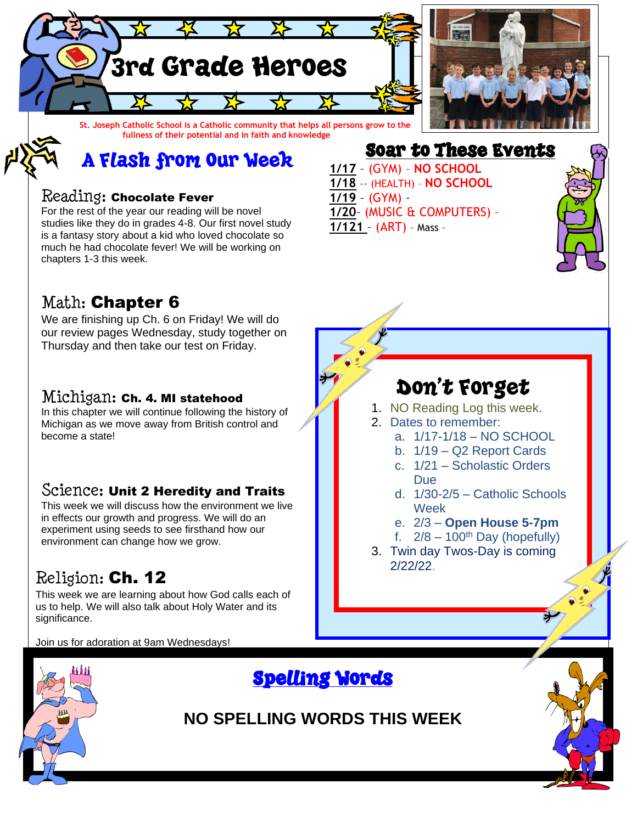

A Flash from Our Week

### Reading: Chocolate Fever

For the rest of the year our reading will be novel studies like they do in grades 4-8. Our first novel study is a fantasy story about a kid who loved chocolate so much he had chocolate fever! We will be working on chapters 1-3 this week.

## Math: Chapter 6

We are finishing up Ch. 6 on Friday! We will do our review pages Wednesday, study together on Thursday and then take our test on Friday.

#### Michigan: Ch. 4. MI statehood

In this chapter we will continue following the history of Michigan as we move away from British control and become a state!

#### Science: Unit 2 Heredity and Traits

This week we will discuss how the environment we live in effects our growth and progress. We will do an experiment using seeds to see firsthand how our environment can change how we grow.

## Religion: Ch. 12

This week we are learning about how God calls each of us to help. We will also talk about Holy Water and its significance.

Join us for adoration at 9am Wednesdays!



## Spelling Words

**NO SPELLING WORDS THIS WEEK**

Soar to These Events **1/17** – (GYM) – **NO SCHOOL 1/18** –- (HEALTH) – **NO SCHOOL 1/19** – (GYM) - **1/20**– (MUSIC & COMPUTERS) – **1/121** – (ART) – Mass –



# Don't Forget

- 1. NO Reading Log this week.
- 2. Dates to remember:
	- a. 1/17-1/18 NO SCHOOL
	- b. 1/19 Q2 Report Cards
	- c. 1/21 Scholastic Orders Due
	- d. 1/30-2/5 Catholic Schools Week
	- e. 2/3 **Open House 5-7pm**
	- f.  $2/8 100$ <sup>th</sup> Day (hopefully)
- 3. Twin day Twos-Day is coming 2/22/22.